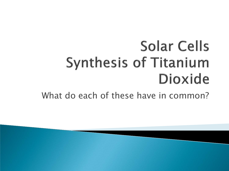## **Solar Cells Synthesis of Titanium** Dioxide

What do each of these have in common?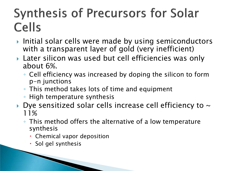### **Synthesis of Precursors for Solar Cells**

- $\triangleright$  Initial solar cells were made by using semiconductors with a transparent layer of gold (very inefficient)
- ▶ Later silicon was used but cell efficiencies was only about 6%.
	- Cell efficiency was increased by doping the silicon to form p-n junctions
	- This method takes lots of time and equipment
	- High temperature synthesis
- Dye sensitized solar cells increase cell efficiency to  $\sim$ 11%
	- This method offers the alternative of a low temperature synthesis
		- Chemical vapor deposition
		- · Sol gel synthesis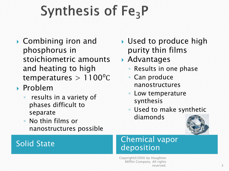# Synthesis of  $Fe<sub>3</sub>P$

▶ Combining iron and phosphorus in stoichiometric amounts and heating to high temperatures  $> 1100$ <sup>o</sup>C

### Problem

- results in a variety of phases difficult to separate
- No thin films or nanostructures possible

### Used to produce high purity thin films

- Advantages
	- Results in one phase
	- Can produce nanostructures
	- Low temperature synthesis
	- Used to make synthetic diamonds



#### Solid State

#### Chemical vapor deposition

Copyright©2000 by Houghton Mifflin Company. All rights reserved. 33 MMMMMMMMMMMMMMMMMMMMMMM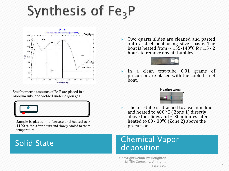### Synthesis of  $Fe<sub>3</sub>P$



Stoichiometric amounts of Fe-P are placed in a niobium tube and welded under Argon gas

Sample is placed in a furnace and heated to > 1100 <sup>o</sup>C for a few hours and slowly cooled to room temperature

 Two quartz slides are cleaned and pasted onto a steel boat using silver paste. The boat is heated from  $\sim 135$ -140<sup>o</sup>C for 1.5 - 2 hours to remove any air bubbles.



 In a clean test-tube 0.01 grams of precursor are placed with the cooled steel boat.



 The test-tube is attached to a vacuum line and heated to 400 $\mathrm{^{0}C}$  (Zone 1) directly above the slides and  $\sim$  30 minutes later heated to  $60 - 80^{\circ}$ C (Zone 2) above the precursor.

#### Solid State Chemical Vapor deposition

Copyright©2000 by Houghton Mifflin Company. All rights reserved. 4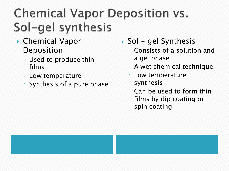### **Chemical Vapor Deposition vs.** Sol-gel synthesis

- Chemical Vapor Deposition
	- Used to produce thin films
	- Low temperature
	- Synthesis of a pure phase
- ▶ Sol gel Synthesis
	- Consists of a solution and a gel phase
	- A wet chemical technique
	- Low temperature synthesis
	- Can be used to form thin films by dip coating or spin coating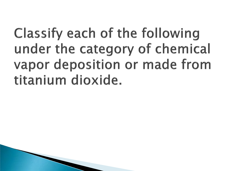Classify each of the following under the category of chemical vapor deposition or made from titanium dioxide.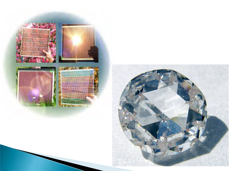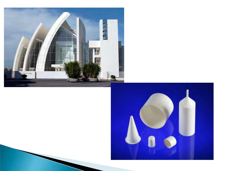

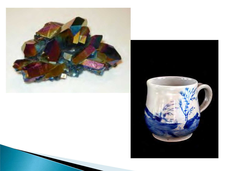